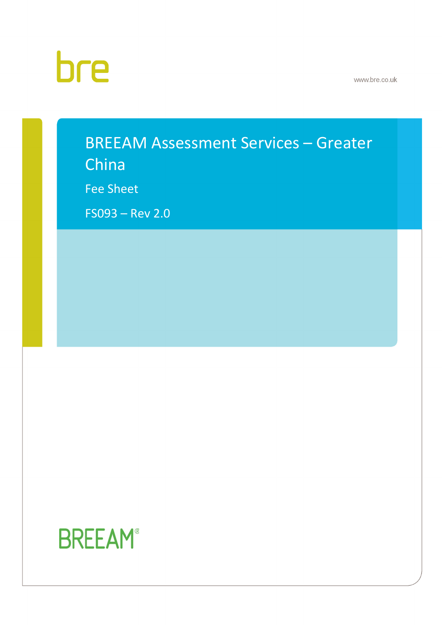# bre

www.bre.co.uk

# BREEAM Assessment Services – Greater

China

Fee Sheet

FS093 – Rev 2.0

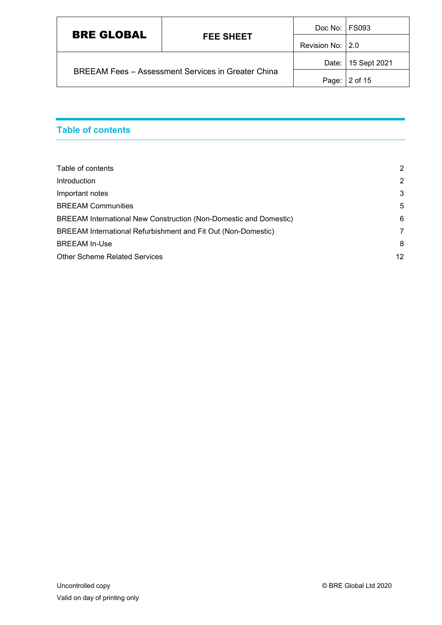| <b>BRE GLOBAL</b>                                         |                  | Doc No: FS093 |                    |
|-----------------------------------------------------------|------------------|---------------|--------------------|
| <b>FEE SHEET</b>                                          | Revision No: 2.0 |               |                    |
| <b>BREEAM Fees - Assessment Services in Greater China</b> |                  |               | Date: 15 Sept 2021 |
|                                                           |                  | Page:         | 2 of 15            |

# <span id="page-1-0"></span>**Table of contents**

| Table of contents                                                 | 2              |
|-------------------------------------------------------------------|----------------|
| Introduction                                                      | $\overline{2}$ |
| Important notes                                                   | 3              |
| <b>BREEAM Communities</b>                                         | -5             |
| BREEAM International New Construction (Non-Domestic and Domestic) | 6              |
| BREEAM International Refurbishment and Fit Out (Non-Domestic)     | 7              |
| <b>BREEAM In-Use</b>                                              | 8              |
| Other Scheme Related Services                                     | 12             |
|                                                                   |                |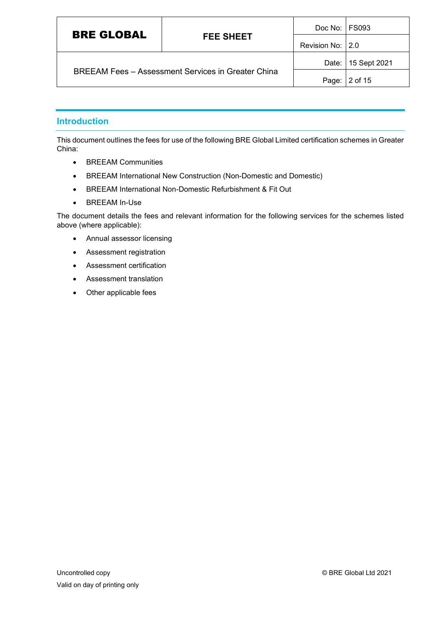| <b>BRE GLOBAL</b>                                         |                   | Doc No:   FS093 |                    |
|-----------------------------------------------------------|-------------------|-----------------|--------------------|
| <b>FEE SHEET</b>                                          | Revision No: 12.0 |                 |                    |
| <b>BREEAM Fees - Assessment Services in Greater China</b> |                   |                 | Date: 15 Sept 2021 |
|                                                           |                   | Page:           | 2 of 15            |

#### <span id="page-2-0"></span>**Introduction**

This document outlines the fees for use of the following BRE Global Limited certification schemes in Greater China:

- BREEAM Communities
- BREEAM International New Construction (Non-Domestic and Domestic)
- BREEAM International Non-Domestic Refurbishment & Fit Out
- BREEAM In-Use

The document details the fees and relevant information for the following services for the schemes listed above (where applicable):

- Annual assessor licensing
- Assessment registration
- Assessment certification
- Assessment translation
- Other applicable fees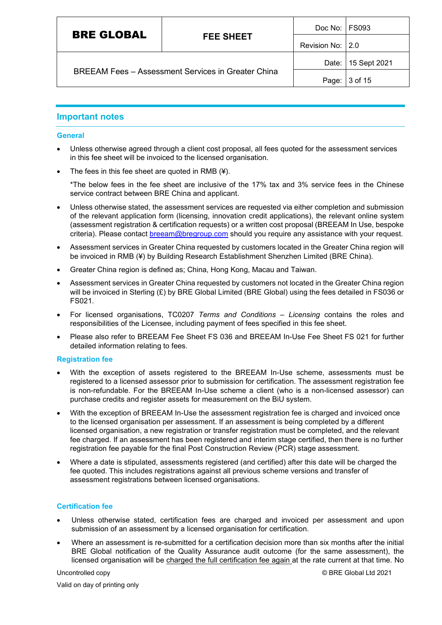| Revision No: 2.0 | <b>BRE GLOBAL</b>                                         | <b>FEE SHEET</b> | Doc No: FS093 |                    |
|------------------|-----------------------------------------------------------|------------------|---------------|--------------------|
|                  |                                                           |                  |               |                    |
|                  | <b>BREEAM Fees - Assessment Services in Greater China</b> |                  |               | Date: 15 Sept 2021 |
| 3 of 15<br>Page: |                                                           |                  |               |                    |

#### <span id="page-3-0"></span>**Important notes**

#### **General**

- Unless otherwise agreed through a client cost proposal, all fees quoted for the assessment services in this fee sheet will be invoiced to the licensed organisation.
- The fees in this fee sheet are quoted in RMB  $(4)$ .

\*The below fees in the fee sheet are inclusive of the 17% tax and 3% service fees in the Chinese service contract between BRE China and applicant.

- Unless otherwise stated, the assessment services are requested via either completion and submission of the relevant application form (licensing, innovation credit applications), the relevant online system (assessment registration & certification requests) or a written cost proposal (BREEAM In Use, bespoke criteria). Please contact [breeam@bregroup.com](mailto:breeam@bregroup.com) should you require any assistance with your request.
- Assessment services in Greater China requested by customers located in the Greater China region will be invoiced in RMB (¥) by Building Research Establishment Shenzhen Limited (BRE China).
- Greater China region is defined as; China, Hong Kong, Macau and Taiwan.
- Assessment services in Greater China requested by customers not located in the Greater China region will be invoiced in Sterling (£) by BRE Global Limited (BRE Global) using the fees detailed in FS036 or FS021.
- For licensed organisations, TC0207 *Terms and Conditions – Licensing* contains the roles and responsibilities of the Licensee, including payment of fees specified in this fee sheet.
- Please also refer to BREEAM Fee Sheet FS 036 and BREEAM In-Use Fee Sheet FS 021 for further detailed information relating to fees.

#### **Registration fee**

- With the exception of assets registered to the BREEAM In-Use scheme, assessments must be registered to a licensed assessor prior to submission for certification. The assessment registration fee is non-refundable. For the BREEAM In-Use scheme a client (who is a non-licensed assessor) can purchase credits and register assets for measurement on the BiU system.
- With the exception of BREEAM In-Use the assessment registration fee is charged and invoiced once to the licensed organisation per assessment. If an assessment is being completed by a different licensed organisation, a new registration or transfer registration must be completed, and the relevant fee charged. If an assessment has been registered and interim stage certified, then there is no further registration fee payable for the final Post Construction Review (PCR) stage assessment.
- Where a date is stipulated, assessments registered (and certified) after this date will be charged the fee quoted. This includes registrations against all previous scheme versions and transfer of assessment registrations between licensed organisations.

#### **Certification fee**

- Unless otherwise stated, certification fees are charged and invoiced per assessment and upon submission of an assessment by a licensed organisation for certification.
- Where an assessment is re-submitted for a certification decision more than six months after the initial BRE Global notification of the Quality Assurance audit outcome (for the same assessment), the licensed organisation will be charged the full certification fee again at the rate current at that time. No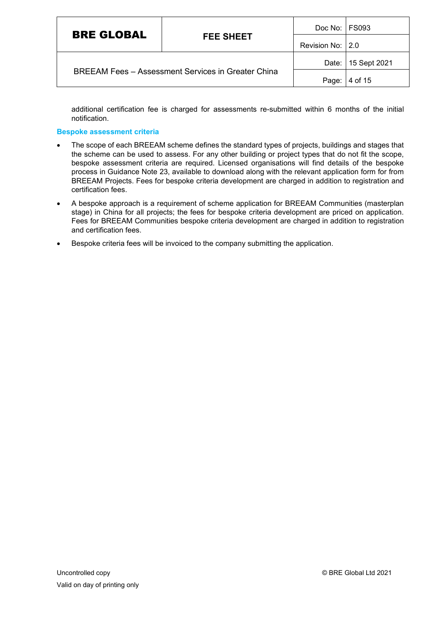| <b>BRE GLOBAL</b>                                         |                    | Doc No:   FS093 |                    |
|-----------------------------------------------------------|--------------------|-----------------|--------------------|
| <b>FEE SHEET</b>                                          | Revision No:   2.0 |                 |                    |
| <b>BREEAM Fees - Assessment Services in Greater China</b> |                    |                 | Date: 15 Sept 2021 |
|                                                           |                    | Page:           | 4 of 15            |

additional certification fee is charged for assessments re-submitted within 6 months of the initial notification.

#### **Bespoke assessment criteria**

- The scope of each BREEAM scheme defines the standard types of projects, buildings and stages that the scheme can be used to assess. For any other building or project types that do not fit the scope, bespoke assessment criteria are required. Licensed organisations will find details of the bespoke process in Guidance Note 23, available to download along with the relevant application form for from BREEAM Projects. Fees for bespoke criteria development are charged in addition to registration and certification fees.
- A bespoke approach is a requirement of scheme application for BREEAM Communities (masterplan stage) in China for all projects; the fees for bespoke criteria development are priced on application. Fees for BREEAM Communities bespoke criteria development are charged in addition to registration and certification fees.
- Bespoke criteria fees will be invoiced to the company submitting the application.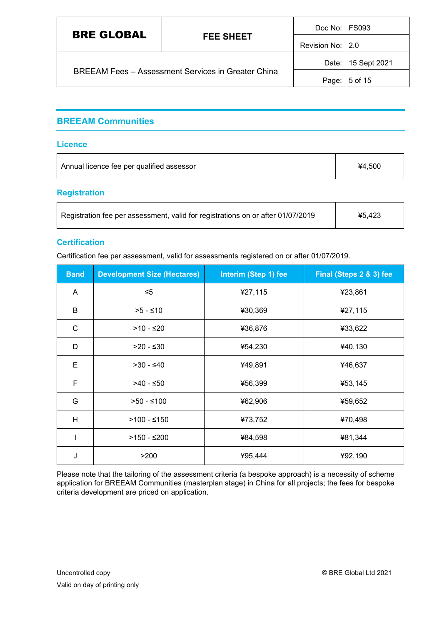| <b>BRE GLOBAL</b>                                         |                   | Doc No:   FS093 |                    |
|-----------------------------------------------------------|-------------------|-----------------|--------------------|
| <b>FEE SHEET</b>                                          | Revision No: 12.0 |                 |                    |
| <b>BREEAM Fees - Assessment Services in Greater China</b> |                   |                 | Date: 15 Sept 2021 |
|                                                           |                   | Page:           | 5 of 15            |

## <span id="page-5-0"></span>**BREEAM Communities**

#### **Licence**

| Annual licence fee per qualified assessor | ¥4.500 |
|-------------------------------------------|--------|
|                                           |        |

#### **Registration**

| Registration fee per assessment, valid for registrations on or after 01/07/2019 | ¥5,423 |
|---------------------------------------------------------------------------------|--------|
|                                                                                 |        |

#### **Certification**

Certification fee per assessment, valid for assessments registered on or after 01/07/2019.

| <b>Band</b> | <b>Development Size (Hectares)</b> | Interim (Step 1) fee | Final (Steps 2 & 3) fee |
|-------------|------------------------------------|----------------------|-------------------------|
| A           | $\leq 5$                           | ¥27,115              | ¥23,861                 |
| B           | $>5 - 10$                          | ¥30,369              | ¥27,115                 |
| C           | $>10 - 520$                        | ¥36,876              | ¥33,622                 |
| D           | $>20 - ≤30$                        | ¥54,230              | ¥40,130                 |
| Е           | $>30 - 40$                         | ¥49,891              | ¥46,637                 |
| F           | $>40$ - ≤50                        | ¥56,399              | ¥53,145                 |
| G           | $>50 - 100$                        | ¥62,906              | ¥59,652                 |
| H           | $>100 - 150$                       | ¥73,752              | ¥70,498                 |
|             | $>150 - 200$                       | ¥84,598              | ¥81,344                 |
| J           | >200                               | ¥95,444              | ¥92,190                 |

Please note that the tailoring of the assessment criteria (a bespoke approach) is a necessity of scheme application for BREEAM Communities (masterplan stage) in China for all projects; the fees for bespoke criteria development are priced on application.

٦

Τ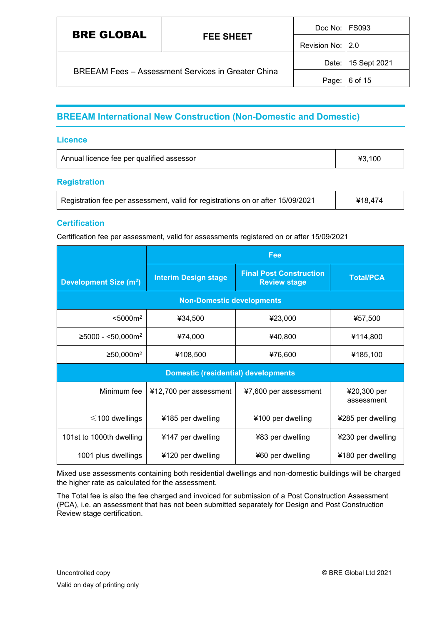| <b>BRE GLOBAL</b>                                         |                   | Doc No: FS093 |                      |
|-----------------------------------------------------------|-------------------|---------------|----------------------|
| <b>FEE SHEET</b>                                          | Revision No: 12.0 |               |                      |
| <b>BREEAM Fees - Assessment Services in Greater China</b> |                   |               | Date:   15 Sept 2021 |
|                                                           |                   |               | Page: 6 of 15        |

# <span id="page-6-0"></span>**BREEAM International New Construction (Non-Domestic and Domestic)**

#### **Licence**

| ¥3.100 | Annual licence fee per qualified assessor |  |
|--------|-------------------------------------------|--|
|--------|-------------------------------------------|--|

#### **Registration**

| Registration fee per assessment, valid for registrations on or after 15/09/2021 | ¥18,474 |
|---------------------------------------------------------------------------------|---------|
|---------------------------------------------------------------------------------|---------|

#### **Certification**

Certification fee per assessment, valid for assessments registered on or after 15/09/2021

|                                    | Fee                                        |                                                       |                           |
|------------------------------------|--------------------------------------------|-------------------------------------------------------|---------------------------|
| Development Size (m <sup>2</sup> ) | <b>Interim Design stage</b>                | <b>Final Post Construction</b><br><b>Review stage</b> | <b>Total/PCA</b>          |
|                                    | <b>Non-Domestic developments</b>           |                                                       |                           |
| < 5000 m <sup>2</sup>              | ¥34,500                                    | ¥23,000                                               | ¥57,500                   |
| $≥$ 5000 - <50,000m <sup>2</sup>   | ¥74,000                                    | ¥40,800                                               | ¥114,800                  |
| ≥50,000m <sup>2</sup>              | ¥108,500                                   | ¥76,600                                               | ¥185,100                  |
|                                    | <b>Domestic (residential) developments</b> |                                                       |                           |
| Minimum fee                        | ¥12,700 per assessment                     | ¥7,600 per assessment                                 | ¥20,300 per<br>assessment |
| $\leq$ 100 dwellings               | ¥185 per dwelling                          | ¥100 per dwelling                                     | ¥285 per dwelling         |
| 101st to 1000th dwelling           | ¥147 per dwelling                          | ¥83 per dwelling                                      | ¥230 per dwelling         |
| 1001 plus dwellings                | ¥120 per dwelling                          | ¥60 per dwelling                                      | ¥180 per dwelling         |

Mixed use assessments containing both residential dwellings and non-domestic buildings will be charged the higher rate as calculated for the assessment.

The Total fee is also the fee charged and invoiced for submission of a Post Construction Assessment (PCA), i.e. an assessment that has not been submitted separately for Design and Post Construction Review stage certification.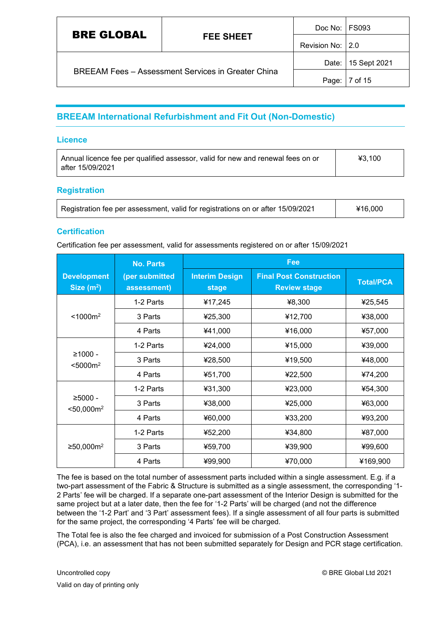| <b>BRE GLOBAL</b>                                         | Doc No: FS093    |                  |                    |
|-----------------------------------------------------------|------------------|------------------|--------------------|
|                                                           | <b>FEE SHEET</b> | Revision No: 2.0 |                    |
| <b>BREEAM Fees - Assessment Services in Greater China</b> |                  |                  | Date: 15 Sept 2021 |
|                                                           |                  | Page:            | 7 of 15            |

# <span id="page-7-0"></span>**BREEAM International Refurbishment and Fit Out (Non-Domestic)**

#### **Licence**

| Annual licence fee per qualified assessor, valid for new and renewal fees on or | ¥3.100 |
|---------------------------------------------------------------------------------|--------|
| after 15/09/2021                                                                |        |

#### **Registration**

| Registration fee per assessment, valid for registrations on or after 15/09/2021 | ¥16,000 |
|---------------------------------------------------------------------------------|---------|
|---------------------------------------------------------------------------------|---------|

#### **Certification**

Certification fee per assessment, valid for assessments registered on or after 15/09/2021

|                                       | <b>No. Parts</b>              | Fee                                   |                                                       |                  |
|---------------------------------------|-------------------------------|---------------------------------------|-------------------------------------------------------|------------------|
| <b>Development</b><br>Size $(m^2)$    | (per submitted<br>assessment) | <b>Interim Design</b><br><b>stage</b> | <b>Final Post Construction</b><br><b>Review stage</b> | <b>Total/PCA</b> |
|                                       | 1-2 Parts                     | ¥17,245                               | ¥8,300                                                | ¥25,545          |
| < 1000 m <sup>2</sup>                 | 3 Parts                       | ¥25,300                               | ¥12,700                                               | ¥38,000          |
|                                       | 4 Parts                       | ¥41,000                               | ¥16,000                                               | ¥57,000          |
|                                       | 1-2 Parts                     | ¥24,000                               | ¥15,000                                               | ¥39,000          |
| $≥1000 -$<br>< 5000 m <sup>2</sup>    | 3 Parts                       | ¥28,500                               | ¥19,500                                               | ¥48,000          |
|                                       | 4 Parts                       | ¥51,700                               | ¥22,500                                               | ¥74,200          |
|                                       | 1-2 Parts                     | ¥31,300                               | ¥23,000                                               | ¥54,300          |
| $≥5000 -$<br>$<$ 50,000m <sup>2</sup> | 3 Parts                       | ¥38,000                               | ¥25,000                                               | ¥63,000          |
|                                       | 4 Parts                       | ¥60,000                               | ¥33,200                                               | ¥93,200          |
|                                       | 1-2 Parts                     | ¥52,200                               | ¥34,800                                               | ¥87,000          |
| ≥50,000m <sup>2</sup>                 | 3 Parts                       | ¥59,700                               | ¥39,900                                               | ¥99,600          |
|                                       | 4 Parts                       | ¥99,900                               | ¥70,000                                               | ¥169,900         |

The fee is based on the total number of assessment parts included within a single assessment. E.g. if a two-part assessment of the Fabric & Structure is submitted as a single assessment, the corresponding '1- 2 Parts' fee will be charged. If a separate one-part assessment of the Interior Design is submitted for the same project but at a later date, then the fee for '1-2 Parts' will be charged (and not the difference between the '1-2 Part' and '3 Part' assessment fees). If a single assessment of all four parts is submitted for the same project, the corresponding '4 Parts' fee will be charged.

The Total fee is also the fee charged and invoiced for submission of a Post Construction Assessment (PCA), i.e. an assessment that has not been submitted separately for Design and PCR stage certification.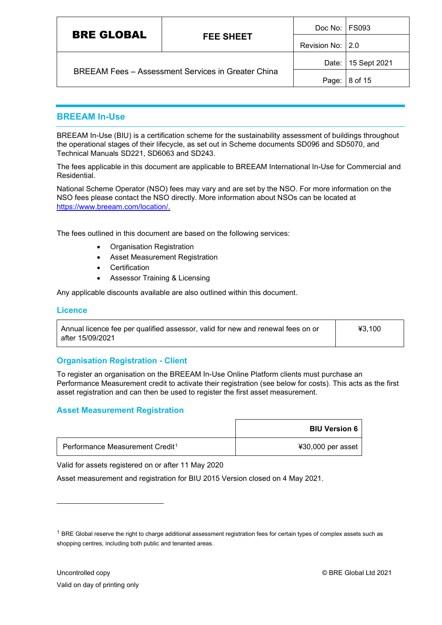| <b>BRE GLOBAL</b><br><b>FEE SHEET</b>                     |                  | Doc No: FS093 |                    |
|-----------------------------------------------------------|------------------|---------------|--------------------|
|                                                           | Revision No: 2.0 |               |                    |
| <b>BREEAM Fees - Assessment Services in Greater China</b> |                  |               | Date: 15 Sept 2021 |
|                                                           |                  | Page:         | 8 of 15            |

#### <span id="page-8-0"></span>**BREEAM In-Use**

BREEAM In-Use (BIU) is a certification scheme for the sustainability assessment of buildings throughout the operational stages of their lifecycle, as set out in Scheme documents SD096 and SD5070, and Technical Manuals SD221, SD6063 and SD243.

The fees applicable in this document are applicable to BREEAM International In-Use for Commercial and Residential.

National Scheme Operator (NSO) fees may vary and are set by the NSO. For more information on the NSO fees please contact the NSO directly. More information about NSOs can be located at [https://www.breeam.com/location/.](https://www.breeam.com/location/)

The fees outlined in this document are based on the following services:

- Organisation Registration
- Asset Measurement Registration
- **Certification**
- Assessor Training & Licensing

Any applicable discounts available are also outlined within this document.

#### **Licence**

| Annual licence fee per qualified assessor, valid for new and renewal fees on or | 43.100 |
|---------------------------------------------------------------------------------|--------|
| after 15/09/2021                                                                |        |

#### **Organisation Registration - Client**

To register an organisation on the BREEAM In-Use Online Platform clients must purchase an Performance Measurement credit to activate their registration (see below for costs). This acts as the first asset registration and can then be used to register the first asset measurement.

#### **Asset Measurement Registration**

|                                             | <b>BIU Version 6</b> |
|---------------------------------------------|----------------------|
| Performance Measurement Credit <sup>1</sup> | ¥30,000 per asset    |

Valid for assets registered on or after 11 May 2020

Asset measurement and registration for BIU 2015 Version closed on 4 May 2021.

<span id="page-8-1"></span> $1$  BRE Global reserve the right to charge additional assessment registration fees for certain types of complex assets such as shopping centres, including both public and tenanted areas.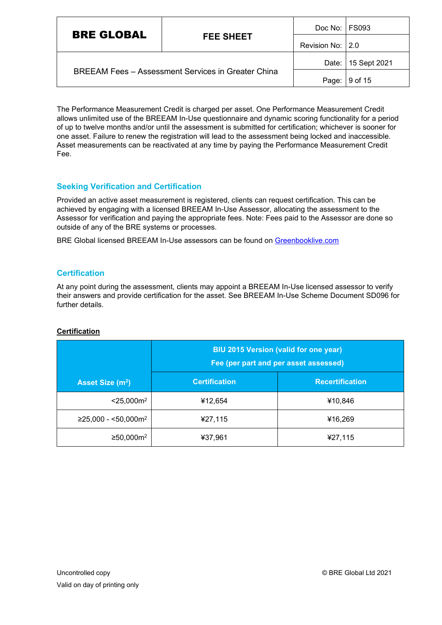| <b>BRE GLOBAL</b><br><b>FEE SHEET</b>                     |                  | Doc No: FS093      |         |
|-----------------------------------------------------------|------------------|--------------------|---------|
|                                                           | Revision No: 2.0 |                    |         |
|                                                           |                  | Date: 15 Sept 2021 |         |
| <b>BREEAM Fees - Assessment Services in Greater China</b> |                  | Page:              | 9 of 15 |

The Performance Measurement Credit is charged per asset. One Performance Measurement Credit allows unlimited use of the BREEAM In-Use questionnaire and dynamic scoring functionality for a period of up to twelve months and/or until the assessment is submitted for certification; whichever is sooner for one asset. Failure to renew the registration will lead to the assessment being locked and inaccessible. Asset measurements can be reactivated at any time by paying the Performance Measurement Credit Fee.

#### **Seeking Verification and Certification**

Provided an active asset measurement is registered, clients can request certification. This can be achieved by engaging with a licensed BREEAM In-Use Assessor, allocating the assessment to the Assessor for verification and paying the appropriate fees. Note: Fees paid to the Assessor are done so outside of any of the BRE systems or processes.

BRE Global licensed BREEAM In-Use assessors can be found on [Greenbooklive.com](http://www.greenbooklive.com/search/scheme.jsp?id=8)

#### **Certification**

At any point during the assessment, clients may appoint a BREEAM In-Use licensed assessor to verify their answers and provide certification for the asset. See BREEAM In-Use Scheme Document SD096 for further details.

| <b>Certification</b> |  |
|----------------------|--|
|                      |  |

|                              | <b>BIU 2015 Version (valid for one year)</b><br>Fee (per part and per asset assessed) |                        |  |
|------------------------------|---------------------------------------------------------------------------------------|------------------------|--|
| Asset Size (m <sup>2</sup> ) | <b>Certification</b>                                                                  | <b>Recertification</b> |  |
| $<$ 25,000 $m2$              | ¥12,654                                                                               | ¥10,846                |  |
| $≥25,000 - 50,000m2$         | ¥27,115                                                                               | ¥16,269                |  |
| ≥50,000m <sup>2</sup>        | ¥37,961                                                                               | ¥27,115                |  |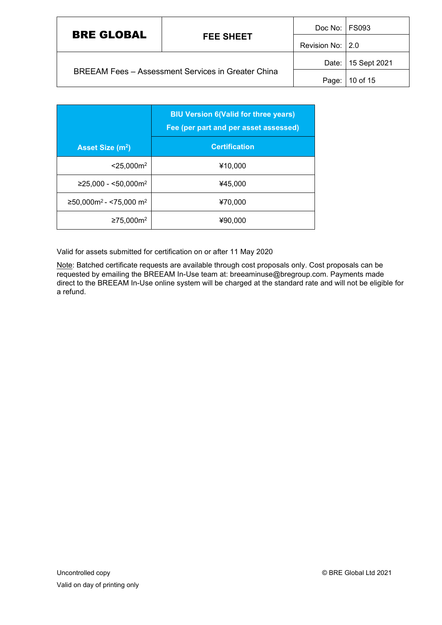| <b>BRE GLOBAL</b>                                         | <b>FEE SHEET</b> | Doc No:   FS093   |                    |
|-----------------------------------------------------------|------------------|-------------------|--------------------|
|                                                           |                  | Revision No: 12.0 |                    |
| <b>BREEAM Fees - Assessment Services in Greater China</b> |                  |                   | Date: 15 Sept 2021 |
|                                                           |                  | Page:             | 10 of 15           |

|                                                   | <b>BIU Version 6(Valid for three years)</b><br>Fee (per part and per asset assessed) |  |
|---------------------------------------------------|--------------------------------------------------------------------------------------|--|
| Asset Size (m <sup>2</sup> )                      | <b>Certification</b>                                                                 |  |
| $<$ 25,000 $m2$                                   | ¥10,000                                                                              |  |
| $≥25,000 - <50,000m2$                             | ¥45,000                                                                              |  |
| $≥$ 50,000m <sup>2</sup> - <75,000 m <sup>2</sup> | ¥70,000                                                                              |  |
| ≥75,000m <sup>2</sup>                             | ¥90,000                                                                              |  |

Valid for assets submitted for certification on or after 11 May 2020

Note: Batched certificate requests are available through cost proposals only. Cost proposals can be requested by emailing the BREEAM In-Use team at: breeaminuse@bregroup.com. Payments made direct to the BREEAM In-Use online system will be charged at the standard rate and will not be eligible for a refund.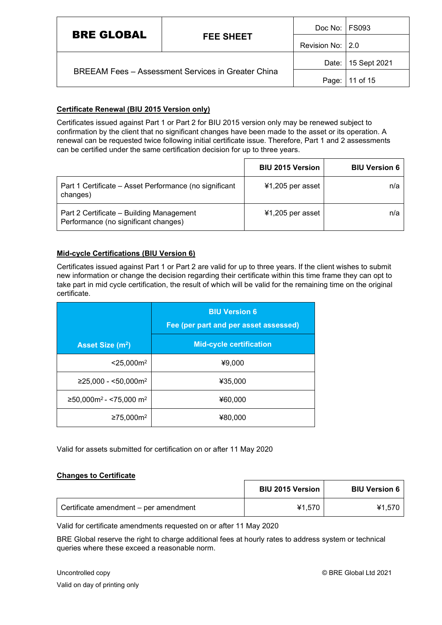| <b>BRE GLOBAL</b>                                         | <b>FEE SHEET</b> | Doc No:   FS093  |                    |
|-----------------------------------------------------------|------------------|------------------|--------------------|
|                                                           |                  | Revision No: 2.0 |                    |
| <b>BREEAM Fees - Assessment Services in Greater China</b> |                  |                  | Date: 15 Sept 2021 |
|                                                           |                  |                  | Page:   11 of 15   |

#### **Certificate Renewal (BIU 2015 Version only)**

Certificates issued against Part 1 or Part 2 for BIU 2015 version only may be renewed subject to confirmation by the client that no significant changes have been made to the asset or its operation. A renewal can be requested twice following initial certificate issue. Therefore, Part 1 and 2 assessments can be certified under the same certification decision for up to three years.

|                                                                                  | <b>BIU 2015 Version</b> | <b>BIU Version 6</b> |
|----------------------------------------------------------------------------------|-------------------------|----------------------|
| Part 1 Certificate – Asset Performance (no significant<br>changes)               | $41,205$ per asset      | n/a                  |
| Part 2 Certificate - Building Management<br>Performance (no significant changes) | ¥1,205 per asset        | n/a                  |

#### **Mid-cycle Certifications (BIU Version 6)**

Certificates issued against Part 1 or Part 2 are valid for up to three years. If the client wishes to submit new information or change the decision regarding their certificate within this time frame they can opt to take part in mid cycle certification, the result of which will be valid for the remaining time on the original certificate.

|                                                   | <b>BIU Version 6</b><br>Fee (per part and per asset assessed) |  |
|---------------------------------------------------|---------------------------------------------------------------|--|
| Asset Size (m <sup>2</sup> )                      | <b>Mid-cycle certification</b>                                |  |
| $<$ 25,000 $m2$                                   | ¥9,000                                                        |  |
| $≥25,000 - <50,000m2$                             | ¥35,000                                                       |  |
| $≥$ 50,000m <sup>2</sup> - <75,000 m <sup>2</sup> | ¥60,000                                                       |  |
| ≥75,000m <sup>2</sup>                             | ¥80.000                                                       |  |

Valid for assets submitted for certification on or after 11 May 2020

#### **Changes to Certificate**

|                                       | <b>BIU 2015 Version</b> | <b>BIU Version 6</b> |
|---------------------------------------|-------------------------|----------------------|
| Certificate amendment - per amendment | ¥1.570                  | ¥1.570               |

Valid for certificate amendments requested on or after 11 May 2020

BRE Global reserve the right to charge additional fees at hourly rates to address system or technical queries where these exceed a reasonable norm.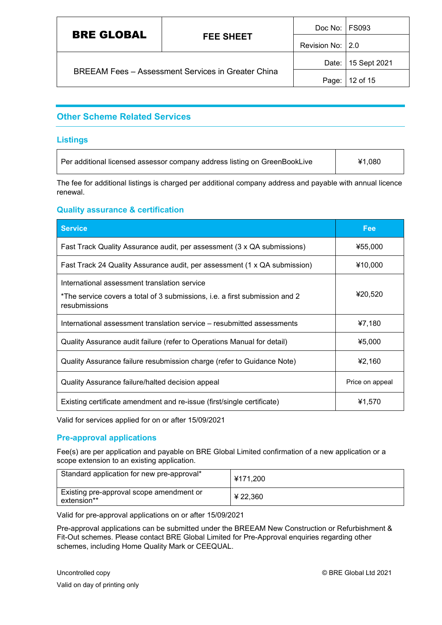| <b>BRE GLOBAL</b>                                         | <b>FEE SHEET</b> | Doc No: FS093    |                    |
|-----------------------------------------------------------|------------------|------------------|--------------------|
|                                                           |                  | Revision No: 2.0 |                    |
| <b>BREEAM Fees - Assessment Services in Greater China</b> |                  |                  | Date: 15 Sept 2021 |
|                                                           |                  | Page:            | 12 of 15           |

### <span id="page-12-0"></span>**Other Scheme Related Services**

#### **Listings**

 $\Gamma$ 

| Per additional licensed assessor company address listing on GreenBookLive | ¥1,080 |
|---------------------------------------------------------------------------|--------|
|                                                                           |        |

The fee for additional listings is charged per additional company address and payable with annual licence renewal.

#### **Quality assurance & certification**

| <b>Service</b>                                                                                                                               | Fee             |
|----------------------------------------------------------------------------------------------------------------------------------------------|-----------------|
| Fast Track Quality Assurance audit, per assessment (3 x QA submissions)                                                                      | ¥55,000         |
| Fast Track 24 Quality Assurance audit, per assessment (1 x QA submission)                                                                    | ¥10,000         |
| International assessment translation service<br>*The service covers a total of 3 submissions, i.e. a first submission and 2<br>resubmissions | ¥20,520         |
| International assessment translation service - resubmitted assessments                                                                       | ¥7,180          |
| Quality Assurance audit failure (refer to Operations Manual for detail)                                                                      | ¥5,000          |
| Quality Assurance failure resubmission charge (refer to Guidance Note)                                                                       | ¥2,160          |
| Quality Assurance failure/halted decision appeal                                                                                             | Price on appeal |
| Existing certificate amendment and re-issue (first/single certificate)                                                                       | ¥1,570          |

Valid for services applied for on or after 15/09/2021

#### **Pre-approval applications**

Fee(s) are per application and payable on BRE Global Limited confirmation of a new application or a scope extension to an existing application.

| Standard application for new pre-approval*              | ¥171.200 |
|---------------------------------------------------------|----------|
| Existing pre-approval scope amendment or<br>extension** | ¥ 22,360 |

Valid for pre-approval applications on or after 15/09/2021

Pre-approval applications can be submitted under the BREEAM New Construction or Refurbishment & Fit-Out schemes. Please contact BRE Global Limited for Pre-Approval enquiries regarding other schemes, including Home Quality Mark or CEEQUAL.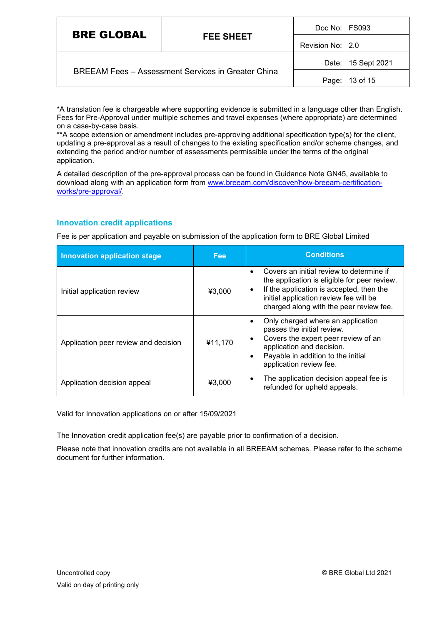| <b>BRE GLOBAL</b>                                         | <b>FEE SHEET</b> | Doc No: FS093    |                    |
|-----------------------------------------------------------|------------------|------------------|--------------------|
|                                                           |                  | Revision No: 2.0 |                    |
| <b>BREEAM Fees - Assessment Services in Greater China</b> |                  |                  | Date: 15 Sept 2021 |
|                                                           |                  | Page:            | 13 of 15           |

\*A translation fee is chargeable where supporting evidence is submitted in a language other than English. Fees for Pre-Approval under multiple schemes and travel expenses (where appropriate) are determined on a case-by-case basis.

\*\*A scope extension or amendment includes pre-approving additional specification type(s) for the client, updating a pre-approval as a result of changes to the existing specification and/or scheme changes, and extending the period and/or number of assessments permissible under the terms of the original application.

A detailed description of the pre-approval process can be found in Guidance Note GN45, available to download along with an application form from [www.breeam.com/discover/how-breeam-certification](http://www.breeam.com/discover/how-breeam-certification-works/pre-approval/)[works/pre-approval/.](http://www.breeam.com/discover/how-breeam-certification-works/pre-approval/)

#### **Innovation credit applications**

Fee is per application and payable on submission of the application form to BRE Global Limited

| <b>Innovation application stage</b>  | <b>Fee</b> | <b>Conditions</b>                                                                                                                                                                                                              |
|--------------------------------------|------------|--------------------------------------------------------------------------------------------------------------------------------------------------------------------------------------------------------------------------------|
| Initial application review           | ¥3.000     | Covers an initial review to determine if<br>the application is eligible for peer review.<br>If the application is accepted, then the<br>٠<br>initial application review fee will be<br>charged along with the peer review fee. |
| Application peer review and decision | ¥11,170    | Only charged where an application<br>passes the initial review.<br>Covers the expert peer review of an<br>application and decision.<br>Payable in addition to the initial<br>application review fee.                           |
| Application decision appeal          | ¥3,000     | The application decision appeal fee is<br>refunded for upheld appeals.                                                                                                                                                         |

Valid for Innovation applications on or after 15/09/2021

The Innovation credit application fee(s) are payable prior to confirmation of a decision.

Please note that innovation credits are not available in all BREEAM schemes. Please refer to the scheme document for further information.